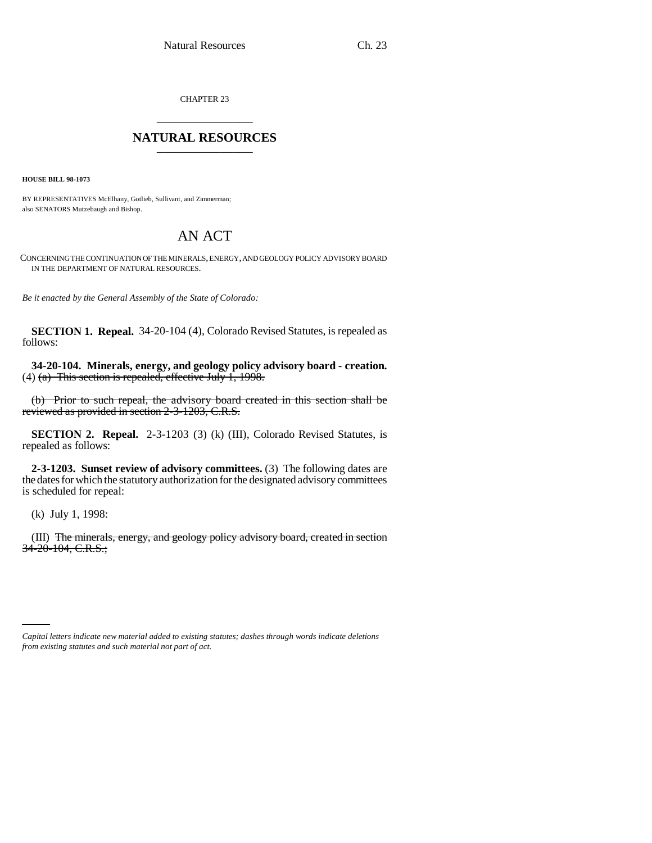CHAPTER 23 \_\_\_\_\_\_\_\_\_\_\_\_\_\_\_

## **NATURAL RESOURCES** \_\_\_\_\_\_\_\_\_\_\_\_\_\_\_

**HOUSE BILL 98-1073**

BY REPRESENTATIVES McElhany, Gotlieb, Sullivant, and Zimmerman; also SENATORS Mutzebaugh and Bishop.

## AN ACT

CONCERNING THE CONTINUATION OF THE MINERALS, ENERGY, AND GEOLOGY POLICY ADVISORY BOARD IN THE DEPARTMENT OF NATURAL RESOURCES.

*Be it enacted by the General Assembly of the State of Colorado:*

**SECTION 1. Repeal.** 34-20-104 (4), Colorado Revised Statutes, is repealed as follows:

**34-20-104. Minerals, energy, and geology policy advisory board - creation.** (4)  $(a)$  This section is repealed, effective July 1, 1998.

(b) Prior to such repeal, the advisory board created in this section shall be reviewed as provided in section 2-3-1203, C.R.S.

**SECTION 2. Repeal.** 2-3-1203 (3) (k) (III), Colorado Revised Statutes, is repealed as follows:

**2-3-1203. Sunset review of advisory committees.** (3) The following dates are the dates for which the statutory authorization for the designated advisory committees is scheduled for repeal:

(k) July 1, 1998:

(III) The minerals, energy, and geology policy advisory board, created in section 34-20-104, C.R.S.;

*Capital letters indicate new material added to existing statutes; dashes through words indicate deletions from existing statutes and such material not part of act.*